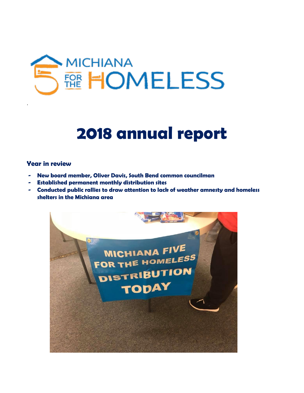

# **2018 annual report**

#### **Year in review**

.

- **- New board member, Oliver Davis, South Bend common councilman**
- **- Established permanent monthly distribution sites**
- **- Conducted public rallies to draw attention to lack of weather amnesty and homeless shelters in the Michiana area**